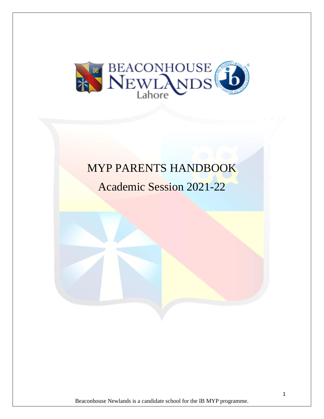

# MYP PARENTS HANDBOOK

Academic Session 2021-22

Beaconhouse Newlands is a candidate school for the IB MYP programme.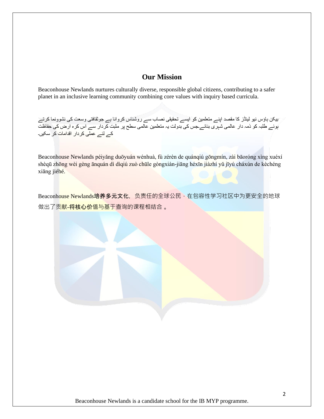# **Our Mission**

Beaconhouse Newlands nurtures culturally diverse, responsible global citizens, contributing to a safer planet in an inclusive learning community combining core values with inquiry based curricula.

بیکن ہاؤس نیو لینڈز کا مقصد اپنے متعلمین کو ایسے تحقیقی نصاب سے روشناس کروانا ہے جوثقافتی وسعت کی نشوونما کرتے ہوئے طلبہ کو ذمہ دار عالمی شہری بنائے۔جس کی بدولت یہ متعلمین عالمی سطح پر مثبت کردار سے اس ک رہ ارض کی حفاظت کے لئے عملی کردار ا قدامات کر سکیں۔

Beaconhouse Newlands péiyǎng duōyuán wénhuà, fù zérèn de quánqiú gōngmín, zài bāoróng xìng xuéxí shèqū zhōng wèi gèng ānquán dì dìqiú zuò chūle gòngxiàn-jiāng héxīn jiàzhí yǔ jīyú cháxún de kèchéng xiāng jiéhé.

Beaconhouse Newlands培养多元文化,负责任的全球公民,在包容性学习社区中为更安全的地球 做出了贡<mark>献-将核心价值与基于</mark>查询的课程相结合 。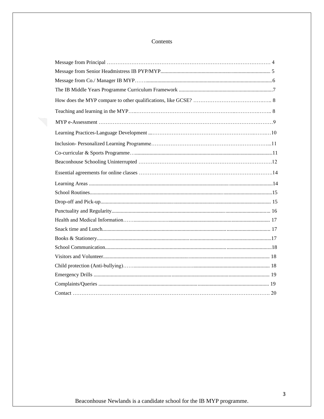# Contents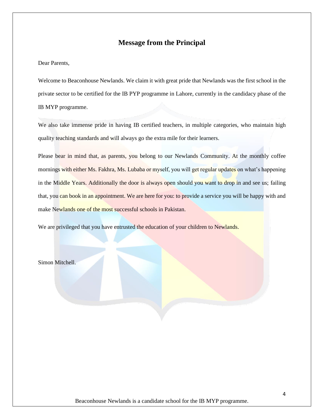# **Message from the Principal**

Dear Parents,

Welcome to Beaconhouse Newlands. We claim it with great pride that Newlands was the first school in the private sector to be certified for the IB PYP programme in Lahore, currently in the candidacy phase of the IB MYP programme.

We also take immense pride in having IB certified teachers, in multiple categories, who maintain high quality teaching standards and will always go the extra mile for their learners.

Please bear in mind that, as parents, you belong to our Newlands Community. At the monthly coffee mornings with either Ms. Fakhra, Ms. Lubaba or myself, you will get regular updates on what's happening in the Middle Years. Additionally the door is always open should you want to drop in and see us; failing that, you can book in an appointment. We are here for you: to provide a service you will be happy with and make Newlands one of the most successful schools in Pakistan.

We are privileged that you have entrusted the education of your children to Newlands.

Simon Mitchell.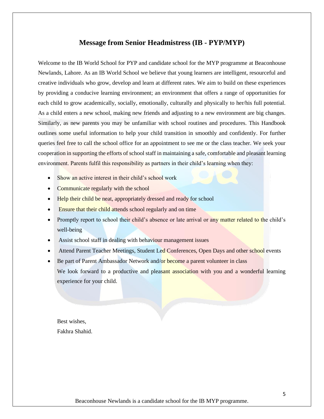### **Message from Senior Headmistress (IB - PYP/MYP)**

Welcome to the IB World School for PYP and candidate school for the MYP programme at Beaconhouse Newlands, Lahore. As an IB World School we believe that young learners are intelligent, resourceful and creative individuals who grow, develop and learn at different rates. We aim to build on these experiences by providing a conducive learning environment; an environment that offers a range of opportunities for each child to grow academically, socially, emotionally, culturally and physically to her/his full potential. As a child enters a new school, making new friends and adjusting to a new environment are big changes. Similarly, as new parents you may be unfamiliar with school routines and procedures. This Handbook outlines some useful information to help your child transition in smoothly and confidently. For further queries feel free to call the school office for an appointment to see me or the class teacher. We seek your cooperation in supporting the efforts of school staff in maintaining a safe, comfortable and pleasant learning environment. Parents fulfil this responsibility as partners in their child's learning when they:

- Show an active interest in their child's school work
- Communicate regularly with the school
- **Help their child be neat, appropriately dressed and ready for school**
- Ensure that their child attends school regularly and on time
- Promptly report to school their child's absence or late arrival or any matter related to the child's well-being
- Assist school staff in dealing with behaviour management issues
- Attend Parent Teacher Meetings, Student Led Conferences, Open Days and other school events
- Be part of Parent Ambassador Network and/or become a parent volunteer in class We look forward to a productive and pleasant association with you and a wonderful learning experience for your child.

Best wishes, Fakhra Shahid.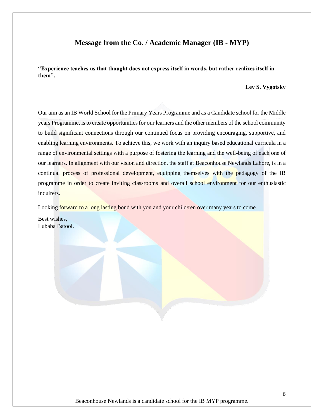# **Message from the Co. / Academic Manager (IB - MYP)**

**"Experience teaches us that thought does not express itself in words, but rather realizes itself in them".** 

### **Lev S. Vygotsky**

Our aim as an IB World School for the Primary Years Programme and as a Candidate school for the Middle years Programme, is to create opportunities for our learners and the other members of the school community to build significant connections through our continued focus on providing encouraging, supportive, and enabling learning environments. To achieve this, we work with an inquiry based educational curricula in a range of environmental settings with a purpose of fostering the learning and the well-being of each one of our learners. In alignment with our vision and direction, the staff at Beaconhouse Newlands Lahore, is in a continual process of professional development, equipping themselves with the pedagogy of the IB programme in order to create inviting classrooms and overall school environment for our enthusiastic inquirers.

Looking forward to a long lasting bond with you and your child/ren over many years to come.

Best wishes, Lubaba Batool.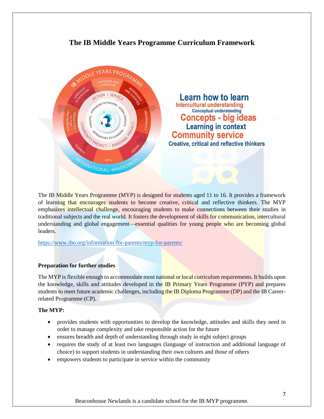# **The IB Middle Years Programme Curriculum Framework**



The IB Middle Years Programme (MYP) is designed for students aged 11 to 16. It provides a framework of learning that encourages students to become creative, critical and reflective thinkers. The MYP emphasizes intellectual challenge, encouraging students to make connections between their studies in traditional subjects and the real world. It fosters the development of skills for communication, intercultural understanding and global engagement—essential qualities for young people who are becoming global leaders.

<https://www.ibo.org/information-for-parents/myp-for-parents/>

### **Preparation for further studies**

The MYP is flexible enough to accommodate most national or local curriculum requirements. It builds upon the knowledge, skills and attitudes developed in the IB Primary Years Programme (PYP) and prepares students to meet future academic challenges, including the IB Diploma Programme (DP) and the IB Careerrelated Programme (CP).

### **The MYP:**

- provides students with opportunities to develop the knowledge, attitudes and skills they need in order to manage complexity and take responsible action for the future
- ensures breadth and depth of understanding through study in eight subject groups
- requires the study of at least two languages (language of instruction and additional language of choice) to support students in understanding their own cultures and those of others
- empowers students to participate in service within the community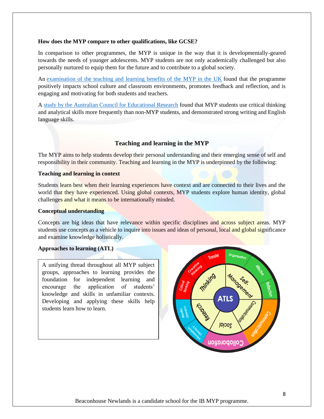#### **How does the MYP compare to other qualifications, like GCSE?**

In comparison to other programmes, the MYP is unique in the way that it is developmentally-geared towards the needs of younger adolescents. MYP students are not only academically challenged but also personally nurtured to equip them for the future and to contribute to a global society.

An [examination of the teaching and learning benefits of the MYP in the UK](https://www.ibo.org/globalassets/publications/ib-research/myp/mypukresearchsummary_withsupplementary_final.pdf) found that the programme positively impacts school culture and classroom environments, promotes feedback and reflection, and is engaging and motivating for both students and teachers.

A [study by the Australian Council for Educational Research](https://www.ibo.org/globalassets/publications/ib-research/myp/comparing-dp-outcomes-with-myp-summary-en.pdf) found that MYP students use critical thinking and analytical skills more frequently than non-MYP students, and demonstrated strong writing and English language skills.

### **Teaching and learning in the MYP**

The MYP aims to help students develop their personal understanding and their emerging sense of self and responsibility in their community. Teaching and learning in the MYP is underpinned by the following:

#### **Teaching and learning in context**

Students learn best when their learning experiences have context and are connected to their lives and the world that they have experienced. Using global contexts, MYP students explore human identity, global challenges and what it means to be internationally minded.

#### **Conceptual understanding**

Concepts are big ideas that have relevance within specific disciplines and across subject areas. MYP students use concepts as a vehicle to inquire into issues and ideas of personal, local and global significance and examine knowledge holistically.

### **Approaches to learning (ATL)**

A unifying thread throughout all MYP subject groups, approaches to learning provides the foundation for independent learning and encourage the application of students' knowledge and skills in unfamiliar contexts. Developing and applying these skills help students learn how to learn.

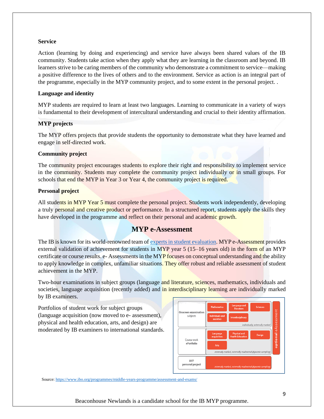#### **Service**

Action (learning by doing and experiencing) and service have always been shared values of the IB community. Students take action when they apply what they are learning in the classroom and beyond. IB learners strive to be caring members of the community who demonstrate a commitment to service—making a positive difference to the lives of others and to the environment. Service as action is an integral part of the programme, especially in the MYP community project, and to some extent in the personal project. .

### **Language and identity**

MYP students are required to learn at least two languages. Learning to communicate in a variety of ways is fundamental to their development of intercultural understanding and crucial to their identity affirmation.

### **MYP projects**

The MYP offers projects that provide students the opportunity to demonstrate what they have learned and engage in self-directed work.

#### **Community project**

The community project encourages students to explore their right and responsibility to implement service in the community. Students may complete the community project individually or in small groups. For schools that end the MYP in Year 3 or Year 4, the community project is required.

#### **Personal project**

All students in MYP Year 5 must complete the personal project. Students work independently, developing a truly personal and creative product or performance. In a structured report, students apply the skills they have developed in the programme and reflect on their personal and academic growth.

# **MYP e-Assessment**

The IB is known for its world-renowned team of [experts in student evaluation.](https://www.ibo.org/information-for-parents/parents-and-assessment/) MYP e-Assessment provides external validation of achievement for students in MYP year  $5(15-16$  years old) in the form of an MYP certificate or course results, e-Assessments in the MYP focuses on conceptual understanding and the ability to apply knowledge in complex, unfamiliar situations. They offer robust and reliable assessment of student achievement in the MYP.

Two-hour examinations in subject groups (language and literature, sciences, mathematics, individuals and societies, language acquisition (recently added) and in interdisciplinary learning are individually marked by IB examiners.

Portfolios of student work for subject groups (language acquisition (now moved to e- assessment), physical and health education, arts, and design) are moderated by IB examiners to international standards.



Source[: https://www.ibo.org/programmes/middle-years-programme/assessment-and-exams/](https://www.ibo.org/programmes/middle-years-programme/assessment-and-exams/)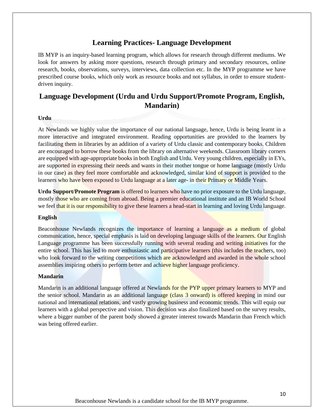# **Learning Practices- Language Development**

IB MYP is an inquiry-based learning program, which allows for research through different mediums. We look for answers by asking more questions, research through primary and secondary resources, online research, books, observations, surveys, interviews, data collection etc. In the MYP programme we have prescribed course books, which only work as resource books and not syllabus, in order to ensure studentdriven inquiry.

# **Language Development (Urdu and Urdu Support/Promote Program, English, Mandarin)**

#### **Urdu**

At Newlands we highly value the importance of our national language, hence, Urdu is being learnt in a more interactive and integrated environment. Reading opportunities are provided to the learners by facilitating them in libraries by an addition of a variety of Urdu classic and contemporary books. Children are encouraged to borrow these books from the library on alternative weekends. Classroom library corners are equipped with age-appropriate books in both English and Urdu. Very young children, especially in EYs, are supported in expressing their needs and wants in their mother tongue or home language (mostly Urdu in our case) as they feel more comfortable and acknowledged, similar kind of support is provided to the learners who have been exposed to Urdu language at a later age- in their Primary or Middle Years.

**Urdu Support/Promote Program** is offered to learners who have no prior exposure to the Urdu language, mostly those who are coming from abroad. Being a premier educational institute and an IB World School we feel that it is our responsibility to give these learners a head-start in learning and loving Urdu language.

#### **English**

Beaconhouse Newlands recognizes the importance of learning a language as a medium of global communication, hence, special emphasis is laid on developing language skills of the learners. Our English Language programme has been successfully running with several reading and writing initiatives for the entire school. This has led to more enthusiastic and participative learners (this includes the teachers, too) who look forward to the writing competitions which are acknowledged and awarded in the whole school assemblies inspiring others to perform better and achieve higher language proficiency.

#### **Mandarin**

Mandarin is an additional language offered at Newlands for the PYP upper primary learners to MYP and the senior school. Mandarin as an additional language (class 3 onward) is offered keeping in mind our national and international relations, and vastly growing business and economic trends. This will equip our learners with a global perspective and vision. This decision was also finalized based on the survey results, where a bigger number of the parent body showed a greater interest towards Mandarin than French which was being offered earlier.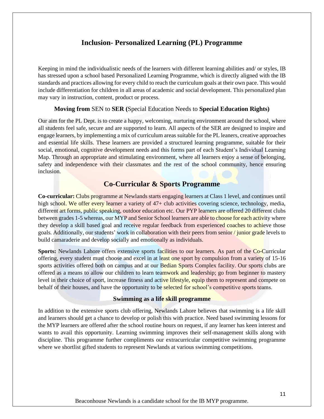# **Inclusion- Personalized Learning (PL) Programme**

Keeping in mind the individualistic needs of the learners with different learning abilities and/ or styles, IB has stressed upon a school based Personalized Learning Programme, which is directly aligned with the IB standards and practices allowing for every child to reach the curriculum goals at their own pace. This would include differentiation for children in all areas of academic and social development. This personalized plan may vary in instruction, content, product or process.

### **Moving from** SEN to **SER (**Special Education Needs to **Special Education Rights)**

Our aim for the PL Dept. is to create a happy, welcoming, nurturing environment around the school, where all students feel safe, secure and are supported to learn. All aspects of the SER are designed to inspire and engage learners, by implementing a mix of curriculum areas suitable for the PL leaners, creative approaches and essential life skills. These learners are provided a structured learning programme, suitable for their social, emotional, cognitive development needs and this forms part of each Student's Individual Learning Map. Through an appropriate and stimulating environment, where all learners enjoy a sense of belonging, safety and independence with their classmates and the rest of the school community, hence ensuring inclusion.

# **Co-Curricular & Sports Programme**

**Co-curricular:** Clubs programme at Newlands starts engaging learners at Class 1 level, and continues until high school. We offer every learner a variety of 47+ club activities covering science, technology, media, different art forms, public speaking, outdoor education etc. Our PYP learners are offered 20 different clubs between grades 1-5 whereas, our MYP and Senior School learners are able to choose for each activity where they develop a skill based goal and receive regular feedback from experienced coaches to achieve those goals. Additionally, our students' work in collaboration with their peers from senior / junior grade levels to build camaraderie and develop socially and emotionally as individuals.

**Sports:** Newlands Lahore offers extensive sports facilities to our learners. As part of the Co-Curricular offering, every student must choose and excel in at least one sport by compulsion from a variety of 15-16 sports activities offered both on campus and at our Bedian Sports Complex facility. Our sports clubs are offered as a means to allow our children to learn teamwork and leadership; go from beginner to mastery level in their choice of sport, increase fitness and active lifestyle, equip them to represent and compete on behalf of their houses, and have the opportunity to be selected for school's competitive sports teams.

### **Swimming as a life skill programme**

In addition to the extensive sports club offering, Newlands Lahore believes that swimming is a life skill and learners should get a chance to develop or polish this with practice. Need based swimming lessons for the MYP learners are offered after the school routine hours on request, if any learner has keen interest and wants to avail this opportunity. Learning swimming improves their self-management skills along with discipline. This programme further compliments our extracurricular competitive swimming programme where we shortlist gifted students to represent Newlands at various swimming competitions.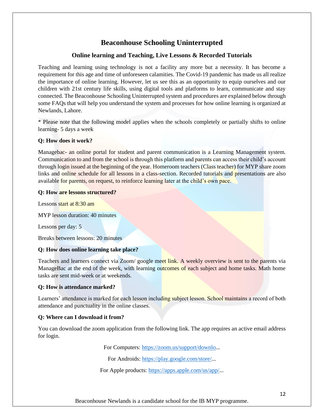# **Beaconhouse Schooling Uninterrupted**

# **Online learning and Teaching, Live Lessons & Recorded Tutorials**

Teaching and learning using technology is not a facility any more but a necessity. It has become a requirement for this age and time of unforeseen calamities. The Covid-19 pandemic has made us all realize the importance of online learning. However, let us see this as an opportunity to equip ourselves and our children with 21st century life skills, using digital tools and platforms to learn, communicate and stay connected. The Beaconhouse Schooling Uninterrupted system and procedures are explained below through some FAQs that will help you understand the system and processes for how online learning is organized at Newlands, Lahore.

\* Please note that the following model applies when the schools completely or partially shifts to online learning- 5 days a week

### **Q: How does it work?**

Managebac- an online portal for student and parent communication is a Learning Management system. Communication to and from the school is through this platform and parents can access their child's account through login issued at the beginning of the year. Homeroom teachers (Class teacher) for MYP share zoom links and online schedule for all lessons in a class-section. Recorded tutorials and presentations are also available for parents, on request, to reinforce learning later at the child's own pace.

### **Q: How are lessons structured?**

Lessons start at 8:30 am

MYP lesson duration: 40 minutes

Lessons per day: 5

Breaks between lessons: 20 minutes

### **Q: How does online learning take place?**

Teachers and learners connect via Zoom/ google meet link. A weekly overview is sent to the parents via ManageBac at the end of the week, with learning outcomes of each subject and home tasks. Math home tasks are sent mid-week or at weekends.

### **Q: How is attendance marked?**

Learners' attendance is marked for each lesson including subject lesson. School maintains a record of both attendance and punctuality in the online classes.

### **Q: Where can I download it from?**

You can download the zoom application from the following link. The app requires an active email address for login.

For Computers: [https://zoom.us/support/downlo.](https://zoom.us/support/downlo)..

For Androids: [https://play.google.com/store/.](https://play.google.com/store/)..

For Apple products: [https://apps.apple.com/us/app/.](https://apps.apple.com/us/app/)..

Beaconhouse Newlands is a candidate school for the IB MYP programme.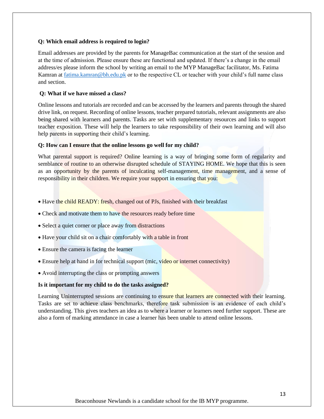### **Q: Which email address is required to login?**

Email addresses are provided by the parents for ManageBac communication at the start of the session and at the time of admission. Please ensure these are functional and updated. If there's a change in the email address/es please inform the school by writing an email to the MYP ManageBac facilitator, Ms. Fatima Kamran at [fatima.kamran@bh.edu.pk](mailto:fatima.kamran@bh.edu.pk) or to the respective CL or teacher with your child's full name class and section.

#### **Q: What if we have missed a class?**

Online lessons and tutorials are recorded and can be accessed by the learners and parents through the shared drive link, on request. Recording of online lessons, teacher prepared tutorials, relevant assignments are also being shared with learners and parents. Tasks are set with supplementary resources and links to support teacher exposition. These will help the learners to take responsibility of their own learning and will also help parents in supporting their child's learning.

#### **Q: How can I ensure that the online lessons go well for my child?**

What parental support is required? Online learning is a way of bringing some form of regularity and semblance of routine to an otherwise disrupted schedule of STAYING HOME. We hope that this is seen as an opportunity by the parents of inculcating self-management, time management, and a sense of responsibility in their children. We require your support in ensuring that you:

- Have the child READY: fresh, changed out of PJs, finished with their breakfast
- Check and motivate them to have the resources ready before time
- Select a quiet corner or place away from distractions
- Have your child sit on a chair comfortably with a table in front
- Ensure the camera is facing the learner
- Ensure help at hand in for technical support (mic, video or internet connectivity)
- Avoid interrupting the class or prompting answers

#### **Is it important for my child to do the tasks assigned?**

Learning Uninterrupted sessions are continuing to ensure that learners are connected with their learning. Tasks are set to achieve class benchmarks, therefore task submission is an evidence of each child's understanding. This gives teachers an idea as to where a learner or learners need further support. These are also a form of marking attendance in case a learner has been unable to attend online lessons.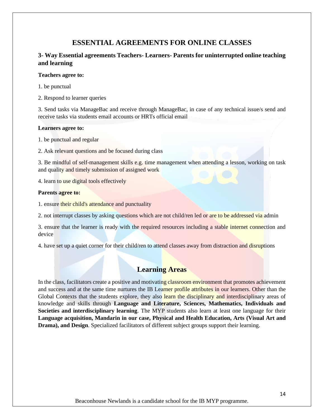# **ESSENTIAL AGREEMENTS FOR ONLINE CLASSES**

# **3- Way Essential agreements Teachers- Learners- Parents for uninterrupted online teaching and learning**

#### **Teachers agree to:**

- 1. be punctual
- 2. Respond to learner queries

3. Send tasks via ManageBac and receive through ManageBac, in case of any technical issue/s send and receive tasks via students email accounts or HRTs official email

### **Learners agree to:**

- 1. be punctual and regular
- 2. Ask relevant questions and be focused during class

3. Be mindful of self-management skills e.g. time management when attending a lesson, working on task and quality and timely submission of assigned work

4. learn to use digital tools effectively

#### **Parents agree to:**

1. ensure their child's attendance and punctuality

2. not interrupt classes by asking questions which are not child/ren led or are to be addressed via admin

3. ensure that the learner is ready with the required resources including a stable internet connection and device

4. have set up a quiet corner for their child/ren to attend classes away from distraction and disruptions

# **Learning Areas**

In the class, facilitators create a positive and motivating classroom environment that promotes achievement and success and at the same time nurtures the IB Learner profile attributes in our learners. Other than the Global Contexts that the students explore, they also learn the disciplinary and interdisciplinary areas of knowledge and skills through **Language and Literature, Sciences, Mathematics, Individuals and Societies and interdisciplinary learning**. The MYP students also learn at least one language for their **Language acquisition, Mandarin in our case, Physical and Health Education, Arts (Visual Art and Drama), and Design**. Specialized facilitators of different subject groups support their learning.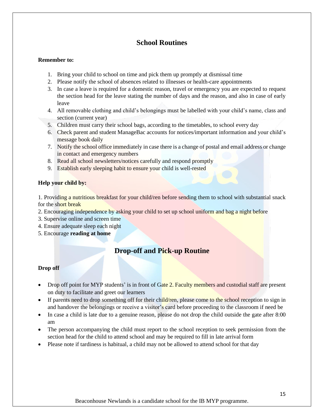# **School Routines**

### **Remember to:**

- 1. Bring your child to school on time and pick them up promptly at dismissal time
- 2. Please notify the school of absences related to illnesses or health-care appointments
- 3. In case a leave is required for a domestic reason, travel or emergency you are expected to request the section head for the leave stating the number of days and the reason, and also in case of early leave
- 4. All removable clothing and child's belongings must be labelled with your child's name, class and section (current year)
- 5. Children must carry their school bags, according to the timetables, to school every day
- 6. Check parent and student ManageBac accounts for notices/important information and your child's message book daily
- 7. Notify the school office immediately in case there is a change of postal and email address or change in contact and emergency numbers
- 8. Read all school newsletters/notices carefully and respond promptly
- 9. Establish early sleeping habit to ensure your child is well-rested

### **Help your child by:**

1. Providing a nutritious breakfast for your child/ren before sending them to school with substantial snack for the short break

- 2. Encouraging independence by asking your child to set up school uniform and bag a night before
- 3. Supervise online and screen time
- 4. Ensure adequate sleep each night
- 5. Encourage **reading at home**

# **Drop-off and Pick-up Routine**

### **Drop off**

- Drop off point for MYP students' is in front of Gate 2. Faculty members and custodial staff are present on duty to facilitate and greet our learners
- If parents need to drop something off for their child/ren, please come to the school reception to sign in and handover the belongings or receive a visitor's card before proceeding to the classroom if need be
- In case a child is late due to a genuine reason, please do not drop the child outside the gate after 8:00 am
- The person accompanying the child must report to the school reception to seek permission from the section head for the child to attend school and may be required to fill in late arrival form
- Please note if tardiness is habitual, a child may not be allowed to attend school for that day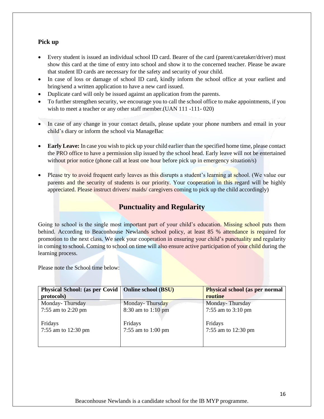### **Pick up**

- Every student is issued an individual school ID card. Bearer of the card (parent/caretaker/driver) must show this card at the time of entry into school and show it to the concerned teacher. Please be aware that student ID cards are necessary for the safety and security of your child.
- In case of loss or damage of school ID card, kindly inform the school office at your earliest and bring/send a written application to have a new card issued.
- Duplicate card will only be issued against an application from the parents.
- To further strengthen security, we encourage you to call the school office to make appointments, if you wish to meet a teacher or any other staff member.(UAN 111 -111-020)
- In case of any change in your contact details, please update your phone numbers and email in your child's diary or inform the school via ManageBac
- **Early Leave:** In case you wish to pick up your child earlier than the specified home time, please contact the PRO office to have a permission slip issued by the school head. Early leave will not be entertained without prior notice (phone call at least one hour before pick up in emergency situation/s)
- Please try to avoid frequent early leaves as this disrupts a student's learning at school. (We value our parents and the security of students is our priority. Your cooperation in this regard will be highly appreciated. Please instruct drivers/ maids/ caregivers coming to pick up the child accordingly)

# **Punctuality and Regularity**

Going to school is the single most important part of your child's education. Missing school puts them behind. According to Beaconhouse Newlands school policy, at least 85 % attendance is required for promotion to the next class. We seek your cooperation in ensuring your child's punctuality and regularity in coming to school. Coming to school on time will also ensure active participation of your child during the learning process.

Please note the School time below:

| Physical School: (as per Covid   Online school (BSU) |                    | <b>Physical school (as per normal</b> |
|------------------------------------------------------|--------------------|---------------------------------------|
| protocols)                                           |                    | routine                               |
| Monday-Thursday                                      | Monday-Thursday    | Monday-Thursday                       |
| 7:55 am to 2:20 pm                                   | 8:30 am to 1:10 pm | 7:55 am to $3:10 \text{ pm}$          |
|                                                      |                    |                                       |
| Fridays                                              | Fridays            | Fridays                               |
| 7:55 am to 12:30 pm                                  | 7:55 am to 1:00 pm | 7:55 am to 12:30 pm                   |
|                                                      |                    |                                       |
|                                                      |                    |                                       |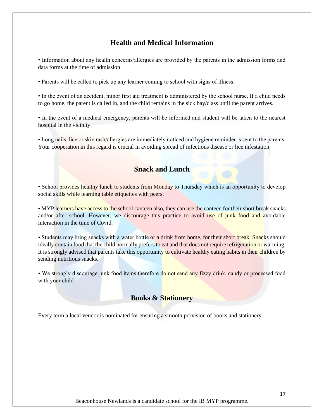# **Health and Medical Information**

• Information about any health concerns/allergies are provided by the parents in the admission forms and data forms at the time of admission.

• Parents will be called to pick up any learner coming to school with signs of illness.

• In the event of an accident, minor first aid treatment is administered by the school nurse. If a child needs to go home, the parent is called in, and the child remains in the sick bay/class until the parent arrives.

• In the event of a medical emergency, parents will be informed and student will be taken to the nearest hospital in the vicinity.

• Long nails, lice or skin rash/allergies are immediately noticed and hygiene reminder is sent to the parents. Your cooperation in this regard is crucial in avoiding spread of infectious disease or lice infestation

# **Snack and Lunch**

• School provides healthy lunch to students from Monday to Thursday which is an opportunity to develop social skills while learning table etiquettes with peers.

• MYP learners have access to the school canteen also, they can use the canteen for their short break snacks and/or after school. However, we discourage this practice to avoid use of junk food and avoidable interaction in the time of Covid.

• Students may bring snacks with a water bottle or a drink from home, for their short break. Snacks should ideally contain food that the child normally prefers to eat and that does not require refrigeration or warming. It is strongly advised that parents take this opportunity to cultivate healthy eating habits in their children by sending nutritious snacks.

• We strongly discourage junk food items therefore do not send any fizzy drink, candy or processed food with your child

# **Books & Stationery**

Every term a local vendor is nominated for ensuring a smooth provision of books and stationery.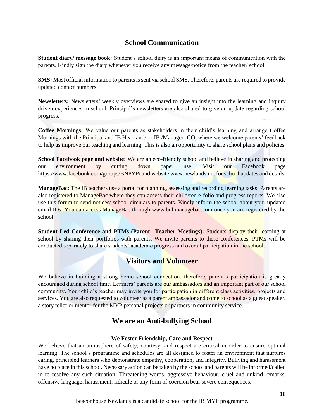# **School Communication**

**Student diary/ message book:** Student's school diary is an important means of communication with the parents. Kindly sign the diary whenever you receive any message/notice from the teacher/ school.

**SMS:** Most official information to parents is sent via school SMS. Therefore, parents are required to provide updated contact numbers.

**Newsletters:** Newsletters/ weekly overviews are shared to give an insight into the learning and inquiry driven experiences in school. Principal's newsletters are also shared to give an update regarding school progress.

**Coffee Mornings:** We value our parents as stakeholders in their child's learning and arrange Coffee Mornings with the Principal and IB Head and/ or IB /Manager- CO, where we welcome parents' feedback to help us improve our teaching and learning. This is also an opportunity to share school plans and policies.

**School Facebook page and website:** We are an eco-friendly school and believe in sharing and protecting our environment by cutting down paper use. Visit our Facebook page https://www.facebook.com/groups/BNPYP/ and website www.newlands.net for school updates and details.

**ManageBac:** The IB teachers use a portal for planning, assessing and recording learning tasks. Parents are also registered to ManageBac where they can access their child/ren e-folio and progress reports. We also use this forum to send notices/ school circulars to parents. Kindly inform the school about your updated email IDs. You can access ManageBac through www.bnl.managebac.com once you are registered by the school.

**Student Led Conference and PTMs (Parent –Teacher Meetings):** Students display their learning at school by sharing their portfolios with parents. We invite parents to these conferences. PTMs will be conducted separately to share students' academic progress and overall participation in the school.

# **Visitors and Volunteer**

We believe in building a strong home school connection, therefore, parent's participation is greatly encouraged during school time. Learners' parents are our ambassadors and an important part of our school community. Your child's teacher may invite you for **participation in different** class activities, projects and services. You are also requested to volunteer as a parent ambassador and come to school as a guest speaker, a story teller or mentor for the MYP personal projects or partners in community service.

# **We are an Anti-bullying School**

### **We Foster Friendship, Care and Respect**

We believe that an atmosphere of safety, courtesy, and respect are critical in order to ensure optimal learning. The school's programme and schedules are all designed to foster an environment that nurtures caring, principled learners who demonstrate empathy, cooperation, and integrity. Bullying and harassment have no place in this school. Necessary action can be taken by the school and parents will be informed/called in to resolve any such situation. Threatening words, aggressive behaviour, cruel and unkind remarks, offensive language, harassment, ridicule or any form of coercion bear severe consequences.

Beaconhouse Newlands is a candidate school for the IB MYP programme.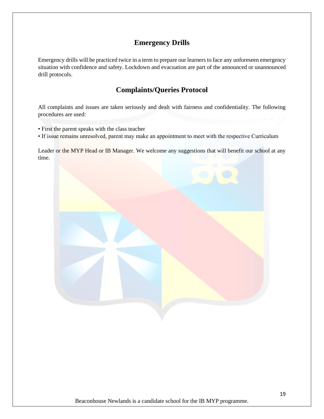# **Emergency Drills**

Emergency drills will be practiced twice in a term to prepare our learners to face any unforeseen emergency situation with confidence and safety. Lockdown and evacuation are part of the announced or unannounced drill protocols.

# **Complaints/Queries Protocol**

All complaints and issues are taken seriously and dealt with fairness and confidentiality. The following procedures are used:

- First the parent speaks with the class teacher
- If issue remains unresolved, parent may make an appointment to meet with the respective Curriculum

Leader or the MYP Head or IB Manager. We welcome any suggestions that will benefit our school at any time.